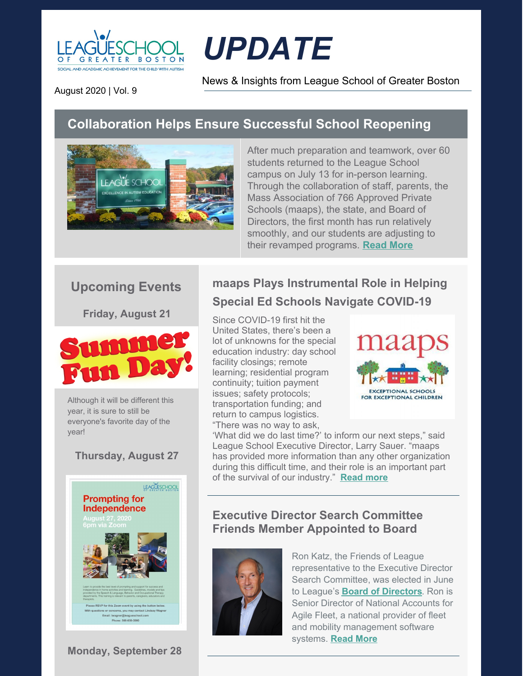

# *UPDATE*

News & Insights from League School of Greater Boston

August 2020 | Vol. 9

# **Collaboration Helps Ensure Successful School Reopening**



After much preparation and teamwork, over 60 students returned to the League School campus on July 13 for in-person learning. Through the collaboration of staff, parents, the Mass Association of 766 Approved Private Schools (maaps), the state, and Board of Directors, the first month has run relatively smoothly, and our students are adjusting to their revamped programs. **[Read](https://leagueschool.org/collaboration-helps-ensure-successful-school-reopening/) More**

## **Upcoming Events**

**Friday, August 21**



Although it will be different this year, it is sure to still be everyone's favorite day of the year!

#### **Thursday, August 27**



**Monday, September 28**

# **maaps Plays Instrumental Role in Helping Special Ed Schools Navigate COVID-19**

Since COVID-19 first hit the United States, there's been a lot of unknowns for the special education industry: day school facility closings; remote learning; residential program continuity; tuition payment issues; safety protocols; transportation funding; and return to campus logistics. "There was no way to ask,



'What did we do last time?' to inform our next steps," said League School Executive Director, Larry Sauer. "maaps has provided more information than any other organization during this difficult time, and their role is an important part of the survival of our industry." **[Read](https://leagueschool.org/maaps-plays-instrumental-role-in-helping-special-ed-schools-navigate-covid-19/) more**

#### **Executive Director Search Committee Friends Member Appointed to Board**



Ron Katz, the Friends of League representative to the Executive Director Search Committee, was elected in June to League's **Board of [Directors](https://leagueschool.org/about-us/board-of-directors/)**. Ron is Senior Director of National Accounts for Agile Fleet, a national provider of fleet and mobility management software systems. **[Read](https://leagueschool.org/executive-director-search-committee-friends-member-appointed-to-board/) [More](https://leagueschool.org/executive-director-search-committee-friends-member-appointed-to-board/)**